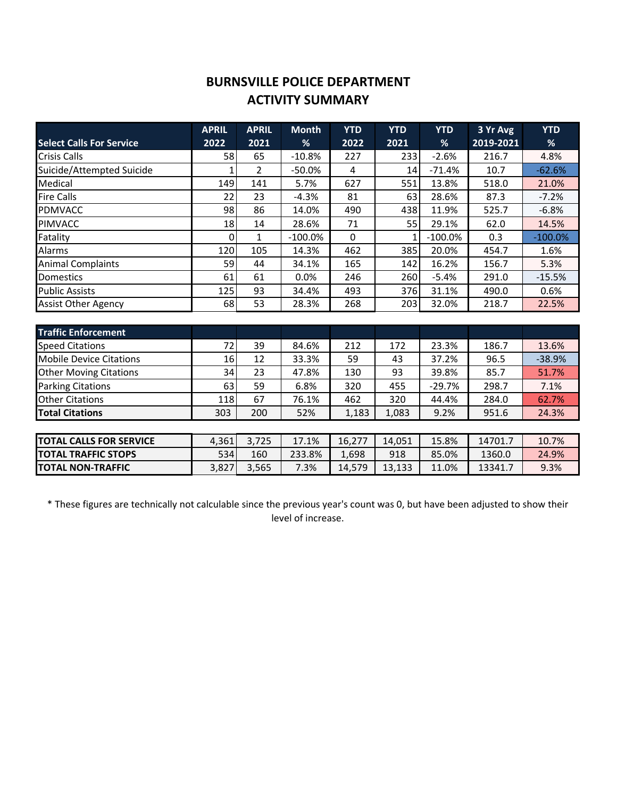## **BURNSVILLE POLICE DEPARTMENT ACTIVITY SUMMARY**

|                                 | <b>APRIL</b> | <b>APRIL</b> | <b>Month</b> | <b>YTD</b> | <b>YTD</b> | <b>YTD</b> | 3 Yr Avg  | <b>YTD</b> |
|---------------------------------|--------------|--------------|--------------|------------|------------|------------|-----------|------------|
| <b>Select Calls For Service</b> | 2022         | 2021         | %            | 2022       | 2021       | %          | 2019-2021 | %          |
| <b>Crisis Calls</b>             | 58           | 65           | $-10.8%$     | 227        | 233        | $-2.6%$    | 216.7     | 4.8%       |
| Suicide/Attempted Suicide       |              | 2            | $-50.0\%$    | 4          | 14         | $-71.4%$   | 10.7      | $-62.6%$   |
| Medical                         | 149          | 141          | 5.7%         | 627        | 551        | 13.8%      | 518.0     | 21.0%      |
| <b>Fire Calls</b>               | 22           | 23           | $-4.3%$      | 81         | 63         | 28.6%      | 87.3      | $-7.2%$    |
| <b>PDMVACC</b>                  | 98           | 86           | 14.0%        | 490        | 438        | 11.9%      | 525.7     | $-6.8%$    |
| <b>PIMVACC</b>                  | 18           | 14           | 28.6%        | 71         | 55         | 29.1%      | 62.0      | 14.5%      |
| Fatality                        | 0            | 1            | $-100.0\%$   | 0          |            | $-100.0\%$ | 0.3       | $-100.0\%$ |
| Alarms                          | 120          | 105          | 14.3%        | 462        | 385        | 20.0%      | 454.7     | 1.6%       |
| <b>Animal Complaints</b>        | 59           | 44           | 34.1%        | 165        | 142        | 16.2%      | 156.7     | 5.3%       |
| <b>Domestics</b>                | 61           | 61           | 0.0%         | 246        | 260        | $-5.4%$    | 291.0     | $-15.5%$   |
| <b>Public Assists</b>           | 125          | 93           | 34.4%        | 493        | 376        | 31.1%      | 490.0     | 0.6%       |
| <b>Assist Other Agency</b>      | 68           | 53           | 28.3%        | 268        | 203        | 32.0%      | 218.7     | 22.5%      |
|                                 |              |              |              |            |            |            |           |            |

| l Traffic Enforcement          |      |      |       |        |        |          |        |          |
|--------------------------------|------|------|-------|--------|--------|----------|--------|----------|
| <b>Speed Citations</b>         | 72   | 39   | 84.6% | 212    | 172    | 23.3%    | 186.7  | 13.6%    |
| <b>Mobile Device Citations</b> | 16   | 12   | 33.3% | 59     | 43     | 37.2%    | 96.5   | $-38.9%$ |
| <b>Other Moving Citations</b>  | 34   | 23   | 47.8% | 130    | 93     | 39.8%    | 85.7   | 51.7%    |
| <b>Parking Citations</b>       | 63   | 59   | 6.8%  | 320    | 455    | $-29.7%$ | 298.7  | 7.1%     |
| <b>Other Citations</b>         | 118  | 67   | 76.1% | 462    | 320    | 44.4%    | 284.0  | 62.7%    |
| <b>Total Citations</b>         | 303  | 200  | 52%   | 1,183  | 1,083  | 9.2%     | 951.6  | 24.3%    |
|                                |      |      |       |        |        |          |        |          |
| <b>TOTAL CALLS EOD SEDVICE</b> | 1261 | 2725 | 1710/ | 16.777 | 14 051 | 15 QO/   | 117017 | 10.70/   |

| <b>TOTAL CALLS FOR SERVICE</b> | 4.361 | .725<br>$\sim$ | 17.1%  | 16.277 | 14.051 | 15.8% | 14701., | 10.7% |
|--------------------------------|-------|----------------|--------|--------|--------|-------|---------|-------|
| <b>TOTAL TRAFFIC STOPS</b>     | 534   | 160            | 233.8% | 1,698  | 918    | 85.0% | 1360.0  | 24.9% |
| <b>TOTAL NON-TRAFFIC</b>       | 3.827 | 3.565          | 7.3%   | 14.579 | 13.133 | 11.0% | 13341.  | 9.3%  |

\* These figures are technically not calculable since the previous year's count was 0, but have been adjusted to show their level of increase.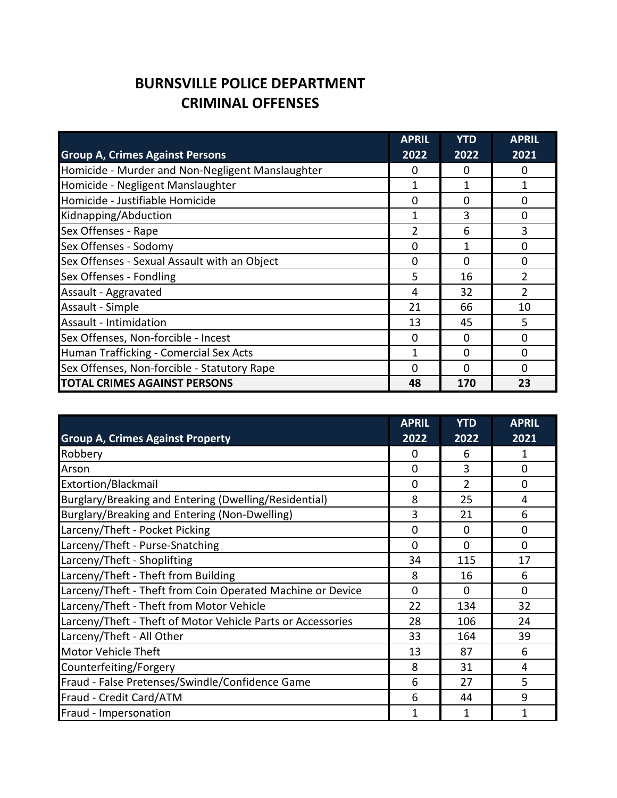## **BURNSVILLE POLICE DEPARTMENT CRIMINAL OFFENSES**

| <b>Group A, Crimes Against Persons</b>           | <b>APRIL</b><br>2022 | <b>YTD</b><br>2022 | <b>APRIL</b><br>2021 |
|--------------------------------------------------|----------------------|--------------------|----------------------|
| Homicide - Murder and Non-Negligent Manslaughter | O                    | 0                  | 0                    |
| Homicide - Negligent Manslaughter                |                      |                    | 1                    |
| Homicide - Justifiable Homicide                  | 0                    | 0                  | $\Omega$             |
| Kidnapping/Abduction                             | 1                    | 3                  | $\Omega$             |
| Sex Offenses - Rape                              | 2                    | 6                  | 3                    |
| Sex Offenses - Sodomy                            | 0                    | 1                  | $\Omega$             |
| Sex Offenses - Sexual Assault with an Object     | $\Omega$             | $\Omega$           | $\Omega$             |
| Sex Offenses - Fondling                          | 5                    | 16                 | $\overline{2}$       |
| Assault - Aggravated                             | 4                    | 32                 | $\overline{2}$       |
| Assault - Simple                                 | 21                   | 66                 | 10                   |
| Assault - Intimidation                           | 13                   | 45                 | 5                    |
| Sex Offenses, Non-forcible - Incest              | 0                    | $\Omega$           | $\Omega$             |
| Human Trafficking - Comercial Sex Acts           | 1                    | $\Omega$           | $\Omega$             |
| Sex Offenses, Non-forcible - Statutory Rape      | $\Omega$             | $\Omega$           | $\Omega$             |
| <b>TOTAL CRIMES AGAINST PERSONS</b>              | 48                   | 170                | 23                   |

|                                                             | <b>APRIL</b> | <b>YTD</b>     | <b>APRIL</b> |
|-------------------------------------------------------------|--------------|----------------|--------------|
| <b>Group A, Crimes Against Property</b>                     | 2022         | 2022           | 2021         |
| Robbery                                                     | 0            | 6              | 1            |
| Arson                                                       | $\Omega$     | 3              | 0            |
| Extortion/Blackmail                                         | $\Omega$     | $\mathfrak{p}$ | $\Omega$     |
| Burglary/Breaking and Entering (Dwelling/Residential)       | 8            | 25             | 4            |
| Burglary/Breaking and Entering (Non-Dwelling)               | 3            | 21             | 6            |
| Larceny/Theft - Pocket Picking                              | $\Omega$     | $\Omega$       | $\Omega$     |
| Larceny/Theft - Purse-Snatching                             | $\Omega$     | $\Omega$       | $\Omega$     |
| Larceny/Theft - Shoplifting                                 | 34           | 115            | 17           |
| Larceny/Theft - Theft from Building                         | 8            | 16             | 6            |
| Larceny/Theft - Theft from Coin Operated Machine or Device  | $\Omega$     | $\Omega$       | $\Omega$     |
| Larceny/Theft - Theft from Motor Vehicle                    | 22           | 134            | 32           |
| Larceny/Theft - Theft of Motor Vehicle Parts or Accessories | 28           | 106            | 24           |
| Larceny/Theft - All Other                                   | 33           | 164            | 39           |
| <b>Motor Vehicle Theft</b>                                  | 13           | 87             | 6            |
| Counterfeiting/Forgery                                      | 8            | 31             | 4            |
| Fraud - False Pretenses/Swindle/Confidence Game             | 6            | 27             | 5            |
| Fraud - Credit Card/ATM                                     | 6            | 44             | 9            |
| Fraud - Impersonation                                       | 1            |                | 1            |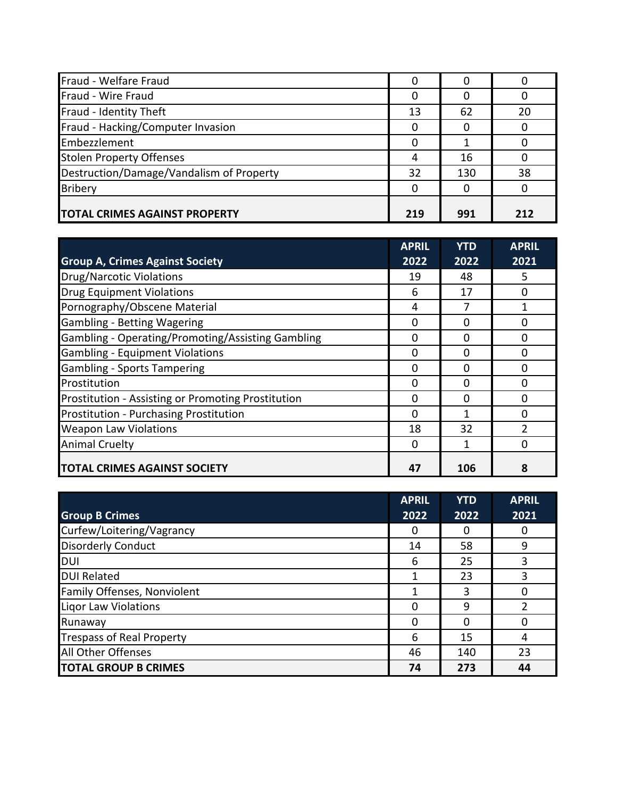| Fraud - Welfare Fraud                    |     |     |     |
|------------------------------------------|-----|-----|-----|
| Fraud - Wire Fraud                       |     |     |     |
| Fraud - Identity Theft                   | 13  | 62  | 20  |
| Fraud - Hacking/Computer Invasion        |     |     |     |
| Embezzlement                             |     |     |     |
| <b>Stolen Property Offenses</b>          |     | 16  |     |
| Destruction/Damage/Vandalism of Property | 32  | 130 | 38  |
| <b>Bribery</b>                           |     |     |     |
| <b>TOTAL CRIMES AGAINST PROPERTY</b>     | 219 | 991 | 212 |

|                                                    | <b>APRIL</b> | <b>YTD</b> | <b>APRIL</b> |
|----------------------------------------------------|--------------|------------|--------------|
| <b>Group A, Crimes Against Society</b>             | 2022         | 2022       | 2021         |
| <b>Drug/Narcotic Violations</b>                    | 19           | 48         | 5.           |
| <b>Drug Equipment Violations</b>                   | 6            | 17         | 0            |
| Pornography/Obscene Material                       | 4            |            |              |
| Gambling - Betting Wagering                        | 0            | O          | 0            |
| Gambling - Operating/Promoting/Assisting Gambling  | 0            | O          | <sup>0</sup> |
| Gambling - Equipment Violations                    | 0            | 0          | ი            |
| Gambling - Sports Tampering                        | O            | O          | ŋ            |
| Prostitution                                       | O            | O          | ი            |
| Prostitution - Assisting or Promoting Prostitution | 0            | ŋ          | ŋ            |
| Prostitution - Purchasing Prostitution             | <sup>0</sup> |            | ŋ            |
| <b>Weapon Law Violations</b>                       | 18           | 32         |              |
| <b>Animal Cruelty</b>                              | 0            |            | ი            |
| <b>TOTAL CRIMES AGAINST SOCIETY</b>                | 47           | 106        |              |

|                                  | <b>APRIL</b> | <b>YTD</b> | <b>APRIL</b> |
|----------------------------------|--------------|------------|--------------|
| <b>Group B Crimes</b>            | 2022         | 2022       | 2021         |
| Curfew/Loitering/Vagrancy        |              |            |              |
| <b>Disorderly Conduct</b>        | 14           | 58         | 9            |
| <b>DUI</b>                       | 6            | 25         | 3            |
| <b>DUI Related</b>               |              | 23         | 3            |
| Family Offenses, Nonviolent      |              | 3          | 0            |
| Ligor Law Violations             | O            | ٩          |              |
| Runaway                          |              |            |              |
| <b>Trespass of Real Property</b> | 6            | 15         | 4            |
| All Other Offenses               | 46           | 140        | 23           |
| <b>TOTAL GROUP B CRIMES</b>      | 74           | 273        | 44           |